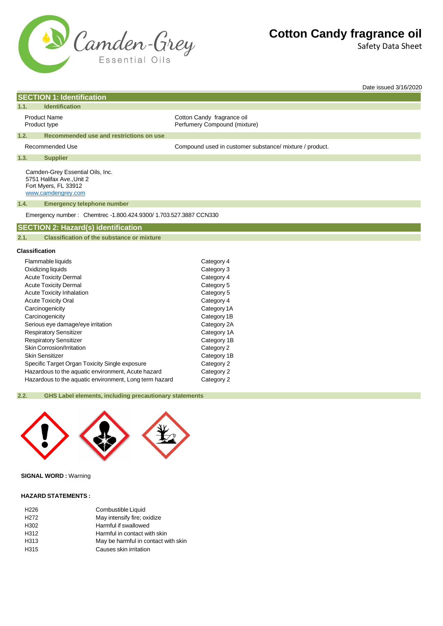

Safety Data Sheet

Date issued 3/16/2020

## Product Name Cotton Candy fragrance oil Product type **Product type Accord Perfumery Compound (mixture)** Recommended Use example and the Compound used in customer substance/ mixture / product. Camden-Grey Essential Oils, Inc. 5751 Halifax Ave.,Unit 2 Fort Myers, FL 33912 [www.camdengrey.com](http://www.camdengrey.com/) Emergency number : Chemtrec -1.800.424.9300/ 1.703.527.3887 CCN330 **Classification** Flammable liquids Category 4 Oxidizing liquids Category 3 Acute Toxicity Dermal **Category 4** Acute Toxicity Dermal and Category 5<br>
Acute Toxicity Inhalation<br>
Category 5 Acute Toxicity Inhalation Acute Toxicity Oral **Category 4** Carcinogenicity Carcinogenicity Category 1A Carcinogenicity **Category 1B SECTION 1: Identification 1.1. Identification 1.2. Recommended use and restrictions on use 1.3. Supplier 1.4. Emergency telephone number SECTION 2: Hazard(s) identification 2.1. Classification of the substance or mixture**

Serious eye damage/eye irritation example of the Category 2A Respiratory Sensitizer Category 1A Respiratory Sensitizer Category 1B Skin Corrosion/Irritation Category 2 Skin Sensitizer Category 1B Specific Target Organ Toxicity Single exposure Category 2 Hazardous to the aquatic environment, Acute hazard Category 2

Hazardous to the aquatic environment, Long term hazard Category 2

**2.2. GHS Label elements, including precautionary statements**



**SIGNAL WORD :** Warning

#### **HAZARD STATEMENTS :**

| Combustible Liquid                  |
|-------------------------------------|
| May intensify fire; oxidize         |
| Harmful if swallowed                |
| Harmful in contact with skin        |
| May be harmful in contact with skin |
| Causes skin irritation              |
|                                     |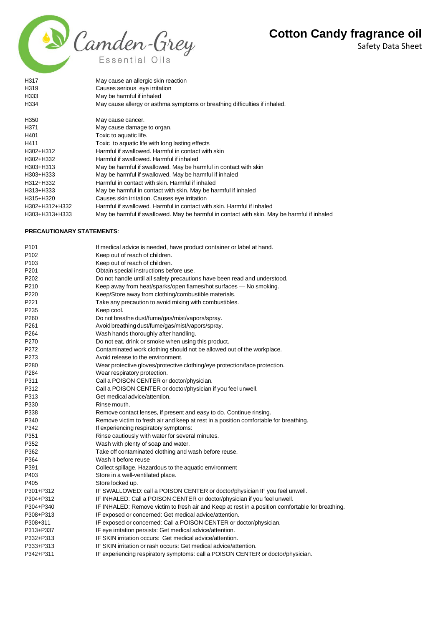Safety Data Sheet



| H317                             | May cause an allergic skin reaction                                                         |
|----------------------------------|---------------------------------------------------------------------------------------------|
| H319                             | Causes serious eye irritation                                                               |
| H333                             | May be harmful if inhaled                                                                   |
| H334                             | May cause allergy or asthma symptoms or breathing difficulties if inhaled.                  |
| H350                             | May cause cancer.                                                                           |
| H371                             | May cause damage to organ.                                                                  |
| H401                             | Toxic to aquatic life.                                                                      |
| H411                             | Toxic to aquatic life with long lasting effects                                             |
| H302+H312                        | Harmful if swallowed. Harmful in contact with skin                                          |
| H302+H332                        | Harmful if swallowed. Harmful if inhaled                                                    |
| H303+H313                        | May be harmful if swallowed. May be harmful in contact with skin                            |
| H303+H333                        | May be harmful if swallowed. May be harmful if inhaled                                      |
| H312+H332                        | Harmful in contact with skin. Harmful if inhaled                                            |
| H313+H333                        | May be harmful in contact with skin. May be harmful if inhaled                              |
| H315+H320                        | Causes skin irritation. Causes eye irritation                                               |
| H302+H312+H332                   | Harmful if swallowed. Harmful in contact with skin. Harmful if inhaled                      |
| H303+H313+H333                   | May be harmful if swallowed. May be harmful in contact with skin. May be harmful if inhaled |
|                                  |                                                                                             |
| <b>PRECAUTIONARY STATEMENTS:</b> |                                                                                             |

| P <sub>101</sub> | If medical advice is needed, have product container or label at hand.                            |
|------------------|--------------------------------------------------------------------------------------------------|
| P <sub>102</sub> | Keep out of reach of children.                                                                   |
| P <sub>103</sub> | Keep out of reach of children.                                                                   |
| P201             | Obtain special instructions before use.                                                          |
| P <sub>202</sub> | Do not handle until all safety precautions have been read and understood.                        |
| P210             | Keep away from heat/sparks/open flames/hot surfaces - No smoking.                                |
| P <sub>220</sub> | Keep/Store away from clothing/combustible materials.                                             |
| P221             | Take any precaution to avoid mixing with combustibles.                                           |
| P235             | Keep cool.                                                                                       |
| P260             | Do not breathe dust/fume/gas/mist/vapors/spray.                                                  |
| P261             | Avoid breathing dust/fume/gas/mist/vapors/spray.                                                 |
| P <sub>264</sub> | Wash hands thoroughly after handling.                                                            |
| P270             | Do not eat, drink or smoke when using this product.                                              |
| P272             | Contaminated work clothing should not be allowed out of the workplace.                           |
| P273             | Avoid release to the environment.                                                                |
| P280             | Wear protective gloves/protective clothing/eye protection/face protection.                       |
| P284             | Wear respiratory protection.                                                                     |
| P311             | Call a POISON CENTER or doctor/physician.                                                        |
| P312             | Call a POISON CENTER or doctor/physician if you feel unwell.                                     |
| P313             | Get medical advice/attention.                                                                    |
| P330             | Rinse mouth.                                                                                     |
| P338             | Remove contact lenses, if present and easy to do. Continue rinsing.                              |
| P340             | Remove victim to fresh air and keep at rest in a position comfortable for breathing.             |
| P342             | If experiencing respiratory symptoms:                                                            |
| P351             | Rinse cautiously with water for several minutes.                                                 |
| P352             | Wash with plenty of soap and water.                                                              |
| P362             | Take off contaminated clothing and wash before reuse.                                            |
| P364             | Wash it before reuse                                                                             |
| P391             | Collect spillage. Hazardous to the aquatic environment                                           |
| P403             | Store in a well-ventilated place.                                                                |
| P405             | Store locked up.                                                                                 |
| P301+P312        | IF SWALLOWED: call a POISON CENTER or doctor/physician IF you feel unwell.                       |
| P304+P312        | IF INHALED: Call a POISON CENTER or doctor/physician if you feel unwell.                         |
| P304+P340        | IF INHALED: Remove victim to fresh air and Keep at rest in a position comfortable for breathing. |
| P308+P313        | IF exposed or concerned: Get medical advice/attention.                                           |
| P308+311         | IF exposed or concerned: Call a POISON CENTER or doctor/physician.                               |
| P313+P337        | IF eye irritation persists: Get medical advice/attention.                                        |
| P332+P313        | IF SKIN irritation occurs: Get medical advice/attention.                                         |
| P333+P313        | IF SKIN irritation or rash occurs: Get medical advice/attention.                                 |
| P342+P311        | IF experiencing respiratory symptoms: call a POISON CENTER or doctor/physician.                  |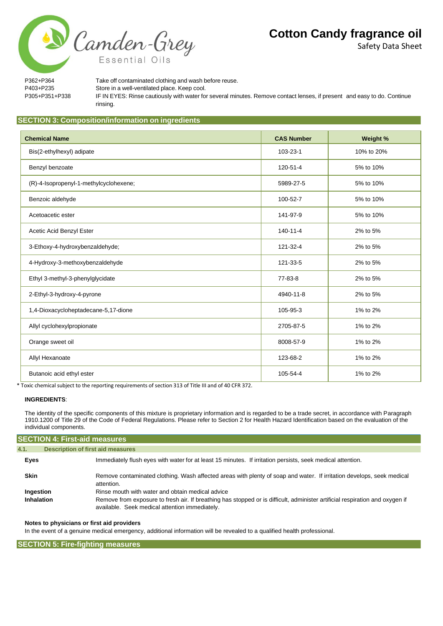Safety Data Sheet

P362+P364 Take off contaminated clothing and wash before reuse. P403+P235 Store in a well-ventilated place. Keep cool. P305+P351+P338 IF IN EYES: Rinse cautiously with water for several minutes. Remove contact lenses, if present and easy to do. Continue rinsing.

### **SECTION 3: Composition/information on ingredients**

Camden-Grey

Essential Oils

| <b>Chemical Name</b>                   | <b>CAS Number</b> | Weight %   |
|----------------------------------------|-------------------|------------|
| Bis(2-ethylhexyl) adipate              | 103-23-1          | 10% to 20% |
| Benzyl benzoate                        | 120-51-4          | 5% to 10%  |
| (R)-4-Isopropenyl-1-methylcyclohexene; | 5989-27-5         | 5% to 10%  |
| Benzoic aldehyde                       | 100-52-7          | 5% to 10%  |
| Acetoacetic ester                      | 141-97-9          | 5% to 10%  |
| Acetic Acid Benzyl Ester               | $140 - 11 - 4$    | 2% to 5%   |
| 3-Ethoxy-4-hydroxybenzaldehyde;        | 121-32-4          | 2% to 5%   |
| 4-Hydroxy-3-methoxybenzaldehyde        | 121-33-5          | 2% to 5%   |
| Ethyl 3-methyl-3-phenylglycidate       | 77-83-8           | 2% to 5%   |
| 2-Ethyl-3-hydroxy-4-pyrone             | 4940-11-8         | 2% to 5%   |
| 1,4-Dioxacycloheptadecane-5,17-dione   | 105-95-3          | 1% to 2%   |
| Allyl cyclohexylpropionate             | 2705-87-5         | 1% to 2%   |
| Orange sweet oil                       | 8008-57-9         | 1% to 2%   |
| Allyl Hexanoate                        | 123-68-2          | 1% to 2%   |
| Butanoic acid ethyl ester              | 105-54-4          | 1% to 2%   |

\* Toxic chemical subject to the reporting requirements of section 313 of Title III and of 40 CFR 372.

#### **INGREDIENTS**:

The identity of the specific components of this mixture is proprietary information and is regarded to be a trade secret, in accordance with Paragraph 1910.1200 of Title 29 of the Code of Federal Regulations. Please refer to Section 2 for Health Hazard Identification based on the evaluation of the individual components.

| <b>SECTION 4: First-aid measures</b>             |                                                                                                                                                                                                                                    |  |
|--------------------------------------------------|------------------------------------------------------------------------------------------------------------------------------------------------------------------------------------------------------------------------------------|--|
| <b>Description of first aid measures</b><br>4.1. |                                                                                                                                                                                                                                    |  |
| Eyes                                             | Immediately flush eyes with water for at least 15 minutes. If irritation persists, seek medical attention.                                                                                                                         |  |
| <b>Skin</b>                                      | Remove contaminated clothing. Wash affected areas with plenty of soap and water. If irritation develops, seek medical<br>attention.                                                                                                |  |
| Ingestion<br>Inhalation                          | Rinse mouth with water and obtain medical advice<br>Remove from exposure to fresh air. If breathing has stopped or is difficult, administer artificial respiration and oxygen if<br>available. Seek medical attention immediately. |  |

#### **Notes to physicians or first aid providers**

In the event of a genuine medical emergency, additional information will be revealed to a qualified health professional.

#### **SECTION 5: Fire-fighting measures**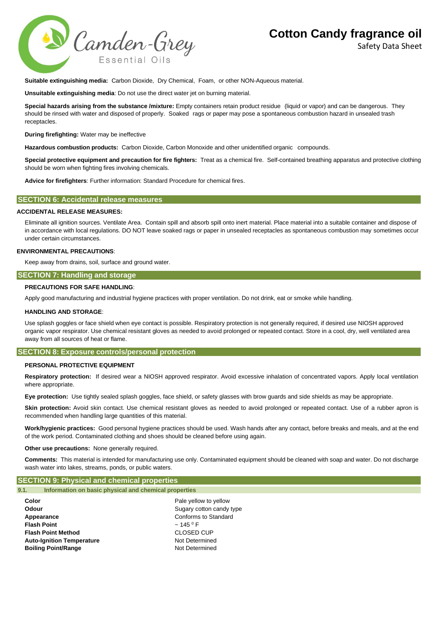Safety Data Sheet



**Suitable extinguishing media:** Carbon Dioxide, Dry Chemical, Foam, or other NON-Aqueous material.

**Unsuitable extinguishing media**: Do not use the direct water jet on burning material.

**Special hazards arising from the substance /mixture:** Empty containers retain product residue (liquid or vapor) and can be dangerous. They should be rinsed with water and disposed of properly. Soaked rags or paper may pose a spontaneous combustion hazard in unsealed trash receptacles.

**During firefighting:** Water may be ineffective

**Hazardous combustion products:** Carbon Dioxide, Carbon Monoxide and other unidentified organic compounds.

**Special protective equipment and precaution for fire fighters:** Treat as a chemical fire. Self-contained breathing apparatus and protective clothing should be worn when fighting fires involving chemicals.

**Advice for firefighters**: Further information: Standard Procedure for chemical fires.

## **SECTION 6: Accidental release measures**

#### **ACCIDENTAL RELEASE MEASURES:**

Eliminate all ignition sources. Ventilate Area. Contain spill and absorb spill onto inert material. Place material into a suitable container and dispose of in accordance with local regulations. DO NOT leave soaked rags or paper in unsealed receptacles as spontaneous combustion may sometimes occur under certain circumstances.

#### **ENVIRONMENTAL PRECAUTIONS**:

Keep away from drains, soil, surface and ground water.

### **SECTION 7: Handling and storage**

### **PRECAUTIONS FOR SAFE HANDLING**:

Apply good manufacturing and industrial hygiene practices with proper ventilation. Do not drink, eat or smoke while handling.

#### **HANDLING AND STORAGE**:

Use splash goggles or face shield when eye contact is possible. Respiratory protection is not generally required, if desired use NIOSH approved organic vapor respirator. Use chemical resistant gloves as needed to avoid prolonged or repeated contact. Store in a cool, dry, well ventilated area away from all sources of heat or flame.

## **SECTION 8: Exposure controls/personal protection**

#### **PERSONAL PROTECTIVE EQUIPMENT**

**Respiratory protection:** If desired wear a NIOSH approved respirator. Avoid excessive inhalation of concentrated vapors. Apply local ventilation where appropriate.

**Eye protection:** Use tightly sealed splash goggles, face shield, or safety glasses with brow guards and side shields as may be appropriate.

Skin protection: Avoid skin contact. Use chemical resistant gloves as needed to avoid prolonged or repeated contact. Use of a rubber apron is recommended when handling large quantities of this material.

**Work/hygienic practices:** Good personal hygiene practices should be used. Wash hands after any contact, before breaks and meals, and at the end of the work period. Contaminated clothing and shoes should be cleaned before using again.

**Other use precautions:** None generally required.

**Comments:** This material is intended for manufacturing use only. Contaminated equipment should be cleaned with soap and water. Do not discharge wash water into lakes, streams, ponds, or public waters.

## **SECTION 9: Physical and chemical properties**

```
9.1. Information on basic physical and chemical properties
```

| Color                            |  |
|----------------------------------|--|
| Odour                            |  |
| Appearance                       |  |
| <b>Flash Point</b>               |  |
| <b>Flash Point Method</b>        |  |
| <b>Auto-Ignition Temperature</b> |  |
| <b>Boiling Point/Range</b>       |  |

Pale yellow to yellow **Sugary cotton candy type Conforms to Standard**  $\sim$  145  $\rm{^0}$  F **CLOSED CUP Not Determined Bothermined**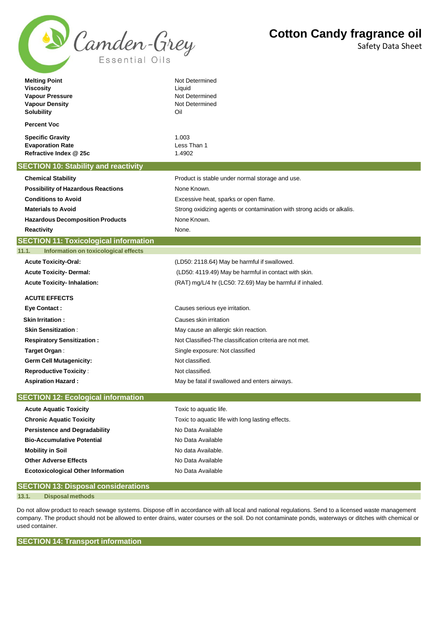

Safety Data Sheet

| <b>Melting Point</b><br><b>Viscosity</b><br><b>Vapour Pressure</b><br><b>Vapour Density</b><br><b>Solubility</b><br><b>Percent Voc</b> | Not Determined<br>Liquid<br>Not Determined<br>Not Determined<br>Oil    |  |
|----------------------------------------------------------------------------------------------------------------------------------------|------------------------------------------------------------------------|--|
|                                                                                                                                        |                                                                        |  |
| <b>Specific Gravity</b><br><b>Evaporation Rate</b>                                                                                     | 1.003<br>Less Than 1                                                   |  |
| Refractive Index @ 25c                                                                                                                 | 1.4902                                                                 |  |
| <b>SECTION 10: Stability and reactivity</b>                                                                                            |                                                                        |  |
| <b>Chemical Stability</b>                                                                                                              | Product is stable under normal storage and use.                        |  |
| <b>Possibility of Hazardous Reactions</b>                                                                                              | None Known.                                                            |  |
| <b>Conditions to Avoid</b>                                                                                                             | Excessive heat, sparks or open flame.                                  |  |
| <b>Materials to Avoid</b>                                                                                                              | Strong oxidizing agents or contamination with strong acids or alkalis. |  |
| <b>Hazardous Decomposition Products</b>                                                                                                | None Known.                                                            |  |
| Reactivity                                                                                                                             | None.                                                                  |  |
| <b>SECTION 11: Toxicological information</b>                                                                                           |                                                                        |  |
| 11.1.<br>Information on toxicological effects                                                                                          |                                                                        |  |
| <b>Acute Toxicity-Oral:</b>                                                                                                            | (LD50: 2118.64) May be harmful if swallowed.                           |  |
| <b>Acute Toxicity- Dermal:</b>                                                                                                         | (LD50: 4119.49) May be harmful in contact with skin.                   |  |
| <b>Acute Toxicity-Inhalation:</b>                                                                                                      | (RAT) mg/L/4 hr (LC50: 72.69) May be harmful if inhaled.               |  |
| <b>ACUTE EFFECTS</b>                                                                                                                   |                                                                        |  |
| <b>Eye Contact:</b>                                                                                                                    | Causes serious eye irritation.                                         |  |
| <b>Skin Irritation:</b>                                                                                                                | Causes skin irritation                                                 |  |
| <b>Skin Sensitization:</b>                                                                                                             | May cause an allergic skin reaction.                                   |  |
| <b>Respiratory Sensitization:</b>                                                                                                      | Not Classified-The classification criteria are not met.                |  |
| Target Organ:                                                                                                                          | Single exposure: Not classified                                        |  |
| <b>Germ Cell Mutagenicity:</b>                                                                                                         | Not classified.                                                        |  |
| <b>Reproductive Toxicity:</b>                                                                                                          | Not classified.                                                        |  |
| <b>Aspiration Hazard:</b>                                                                                                              | May be fatal if swallowed and enters airways.                          |  |
| <b>SECTION 12: Ecological information</b>                                                                                              |                                                                        |  |
| <b>Acute Aquatic Toxicity</b>                                                                                                          | Toxic to aquatic life.                                                 |  |
| <b>Chronic Aquatic Toxicity</b>                                                                                                        | Toxic to aquatic life with long lasting effects.                       |  |
| <b>Persistence and Degradability</b>                                                                                                   | No Data Available                                                      |  |
| <b>Bio-Accumulative Potential</b>                                                                                                      | No Data Available                                                      |  |
| <b>Mobility in Soil</b>                                                                                                                | No data Available.                                                     |  |
| <b>Other Adverse Effects</b>                                                                                                           | No Data Available                                                      |  |
| <b>Ecotoxicological Other Information</b>                                                                                              | No Data Available                                                      |  |
| <b>CEOTION 40. Displayed constituted by</b>                                                                                            |                                                                        |  |

|       | [SECTION 13: DISposal considerations]                                                                                                                |
|-------|------------------------------------------------------------------------------------------------------------------------------------------------------|
| 13.1. | <b>Disposal methods</b>                                                                                                                              |
|       |                                                                                                                                                      |
|       | Do not allow product to reach sewane systems. Dispose off in accordance with all local and pational requlations. Send to a licensed waste management |

Do not allow product to reach sewage systems. Dispose off in accordance with all local and national regulations. Send to a licensed waste management company. The product should not be allowed to enter drains, water courses or the soil. Do not contaminate ponds, waterways or ditches with chemical or used container.

**SECTION 14: Transport information**